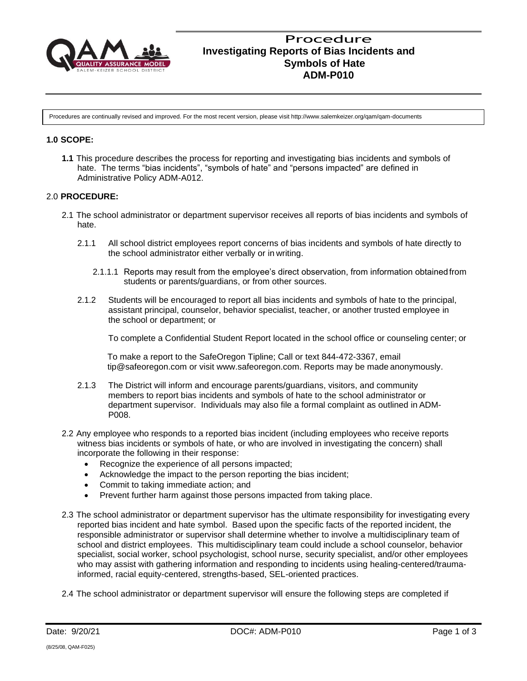

Procedures are continually revised and improved. For the most recent version, please visit http://www.salemkeizer.org/qam/qam-documents

#### **1.0 SCOPE:**

**1.1** This procedure describes the process for reporting and investigating bias incidents and symbols of hate. The terms "bias incidents", "symbols of hate" and "persons impacted" are defined in Administrative Policy ADM-A012.

#### 2.0 **PROCEDURE:**

- 2.1 The school administrator or department supervisor receives all reports of bias incidents and symbols of hate.
	- 2.1.1 All school district employees report concerns of bias incidents and symbols of hate directly to the school administrator either verbally or in writing.
		- 2.1.1.1 Reports may result from the employee's direct observation, from information obtainedfrom students or parents/guardians, or from other sources.
	- 2.1.2 Students will be encouraged to report all bias incidents and symbols of hate to the principal, assistant principal, counselor, behavior specialist, teacher, or another trusted employee in the school or department; or

To complete a Confidential Student Report located in the school office or counseling center; or

To make a report to the SafeOregon Tipline; Call or text 844-472-3367, email tip@safeoregon.com or visit www.safeoregon.com. Reports may be made anonymously.

- 2.1.3 The District will inform and encourage parents/guardians, visitors, and community members to report bias incidents and symbols of hate to the school administrator or department supervisor. Individuals may also file a formal complaint as outlined in ADM-P008.
- 2.2 Any employee who responds to a reported bias incident (including employees who receive reports witness bias incidents or symbols of hate, or who are involved in investigating the concern) shall incorporate the following in their response:
	- Recognize the experience of all persons impacted;
	- Acknowledge the impact to the person reporting the bias incident;
	- Commit to taking immediate action; and
	- Prevent further harm against those persons impacted from taking place.
- 2.3 The school administrator or department supervisor has the ultimate responsibility for investigating every reported bias incident and hate symbol. Based upon the specific facts of the reported incident, the responsible administrator or supervisor shall determine whether to involve a multidisciplinary team of school and district employees. This multidisciplinary team could include a school counselor, behavior specialist, social worker, school psychologist, school nurse, security specialist, and/or other employees who may assist with gathering information and responding to incidents using healing-centered/traumainformed, racial equity-centered, strengths-based, SEL-oriented practices.
- 2.4 The school administrator or department supervisor will ensure the following steps are completed if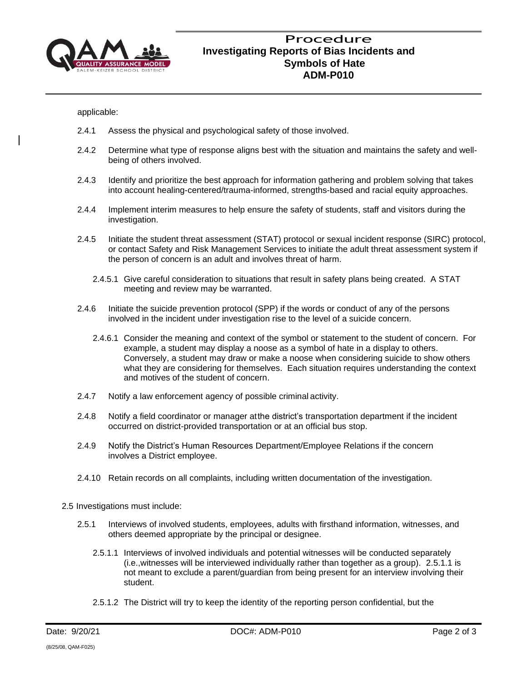

#### applicable:

- 2.4.1 Assess the physical and psychological safety of those involved.
- 2.4.2 Determine what type of response aligns best with the situation and maintains the safety and wellbeing of others involved.
- 2.4.3 Identify and prioritize the best approach for information gathering and problem solving that takes into account healing-centered/trauma-informed, strengths-based and racial equity approaches.
- 2.4.4 Implement interim measures to help ensure the safety of students, staff and visitors during the investigation.
- 2.4.5 Initiate the student threat assessment (STAT) protocol or sexual incident response (SIRC) protocol, or contact Safety and Risk Management Services to initiate the adult threat assessment system if the person of concern is an adult and involves threat of harm.
	- 2.4.5.1 Give careful consideration to situations that result in safety plans being created. A STAT meeting and review may be warranted.
- 2.4.6 Initiate the suicide prevention protocol (SPP) if the words or conduct of any of the persons involved in the incident under investigation rise to the level of a suicide concern.
	- 2.4.6.1 Consider the meaning and context of the symbol or statement to the student of concern. For example, a student may display a noose as a symbol of hate in a display to others. Conversely, a student may draw or make a noose when considering suicide to show others what they are considering for themselves. Each situation requires understanding the context and motives of the student of concern.
- 2.4.7 Notify a law enforcement agency of possible criminal activity.
- 2.4.8 Notify a field coordinator or manager atthe district's transportation department if the incident occurred on district-provided transportation or at an official bus stop.
- 2.4.9 Notify the District's Human Resources Department/Employee Relations if the concern involves a District employee.
- 2.4.10 Retain records on all complaints, including written documentation of the investigation.
- 2.5 Investigations must include:
	- 2.5.1 Interviews of involved students, employees, adults with firsthand information, witnesses, and others deemed appropriate by the principal or designee.
		- 2.5.1.1 Interviews of involved individuals and potential witnesses will be conducted separately (i.e.,witnesses will be interviewed individually rather than together as a group). 2.5.1.1 is not meant to exclude a parent/guardian from being present for an interview involving their student.
		- 2.5.1.2 The District will try to keep the identity of the reporting person confidential, but the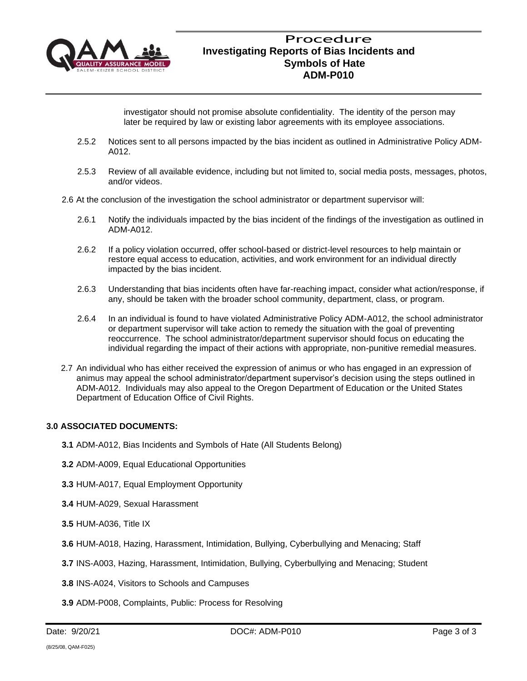

investigator should not promise absolute confidentiality. The identity of the person may later be required by law or existing labor agreements with its employee associations.

- 2.5.2 Notices sent to all persons impacted by the bias incident as outlined in Administrative Policy ADM-A012.
- 2.5.3 Review of all available evidence, including but not limited to, social media posts, messages, photos, and/or videos.
- 2.6 At the conclusion of the investigation the school administrator or department supervisor will:
	- 2.6.1 Notify the individuals impacted by the bias incident of the findings of the investigation as outlined in ADM-A012.
	- 2.6.2 If a policy violation occurred, offer school-based or district-level resources to help maintain or restore equal access to education, activities, and work environment for an individual directly impacted by the bias incident.
	- 2.6.3 Understanding that bias incidents often have far-reaching impact, consider what action/response, if any, should be taken with the broader school community, department, class, or program.
	- 2.6.4 In an individual is found to have violated Administrative Policy ADM-A012, the school administrator or department supervisor will take action to remedy the situation with the goal of preventing reoccurrence. The school administrator/department supervisor should focus on educating the individual regarding the impact of their actions with appropriate, non-punitive remedial measures.
- 2.7 An individual who has either received the expression of animus or who has engaged in an expression of animus may appeal the school administrator/department supervisor's decision using the steps outlined in ADM-A012. Individuals may also appeal to the Oregon Department of Education or the United States Department of Education Office of Civil Rights.

#### **3.0 ASSOCIATED DOCUMENTS:**

- **3.1** ADM-A012, Bias Incidents and Symbols of Hate (All Students Belong)
- **3.2** ADM-A009, Equal Educational Opportunities
- **3.3** HUM-A017, Equal Employment Opportunity
- **3.4** HUM-A029, Sexual Harassment
- **3.5** HUM-A036, Title IX
- **3.6** HUM-A018, Hazing, Harassment, Intimidation, Bullying, Cyberbullying and Menacing; Staff
- **3.7** INS-A003, Hazing, Harassment, Intimidation, Bullying, Cyberbullying and Menacing; Student
- **3.8** INS-A024, Visitors to Schools and Campuses
- **3.9** ADM-P008, Complaints, Public: Process for Resolving